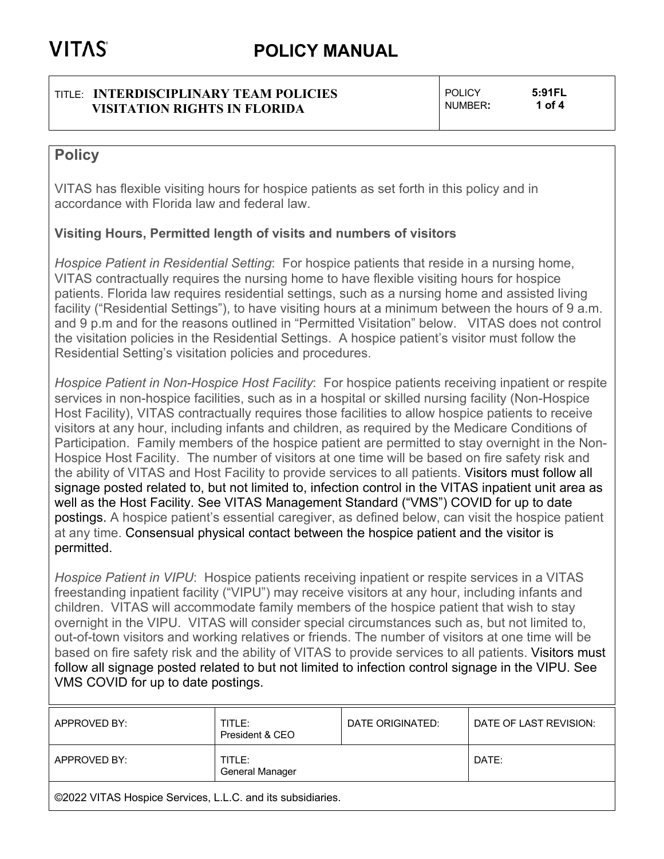#### TITLE: **INTERDISCIPLINARY TEAM POLICIES VISITATION RIGHTS IN FLORIDA**

POLICY **5:91FL** NUMBER**: 1 of 4**

## **Policy**

VITAS has flexible visiting hours for hospice patients as set forth in this policy and in accordance with Florida law and federal law.

### **Visiting Hours, Permitted length of visits and numbers of visitors**

*Hospice Patient in Residential Setting*: For hospice patients that reside in a nursing home, VITAS contractually requires the nursing home to have flexible visiting hours for hospice patients. Florida law requires residential settings, such as a nursing home and assisted living facility ("Residential Settings"), to have visiting hours at a minimum between the hours of 9 a.m. and 9 p.m and for the reasons outlined in "Permitted Visitation" below. VITAS does not control the visitation policies in the Residential Settings. A hospice patient's visitor must follow the Residential Setting's visitation policies and procedures.

*Hospice Patient in Non-Hospice Host Facility*: For hospice patients receiving inpatient or respite services in non-hospice facilities, such as in a hospital or skilled nursing facility (Non-Hospice Host Facility), VITAS contractually requires those facilities to allow hospice patients to receive visitors at any hour, including infants and children, as required by the Medicare Conditions of Participation. Family members of the hospice patient are permitted to stay overnight in the Non-Hospice Host Facility. The number of visitors at one time will be based on fire safety risk and the ability of VITAS and Host Facility to provide services to all patients. Visitors must follow all signage posted related to, but not limited to, infection control in the VITAS inpatient unit area as well as the Host Facility. See VITAS Management Standard ("VMS") COVID for up to date postings. A hospice patient's essential caregiver, as defined below, can visit the hospice patient at any time. Consensual physical contact between the hospice patient and the visitor is permitted.

*Hospice Patient in VIPU*: Hospice patients receiving inpatient or respite services in a VITAS freestanding inpatient facility ("VIPU") may receive visitors at any hour, including infants and children. VITAS will accommodate family members of the hospice patient that wish to stay overnight in the VIPU. VITAS will consider special circumstances such as, but not limited to, out-of-town visitors and working relatives or friends. The number of visitors at one time will be based on fire safety risk and the ability of VITAS to provide services to all patients. Visitors must follow all signage posted related to but not limited to infection control signage in the VIPU. See VMS COVID for up to date postings.

| APPROVED BY:                                               | TITLE:<br>President & CEO | DATE ORIGINATED: | DATE OF LAST REVISION: |  |
|------------------------------------------------------------|---------------------------|------------------|------------------------|--|
| APPROVED BY:                                               | TITLE:<br>General Manager |                  | DATE:                  |  |
| ©2022 VITAS Hospice Services, L.L.C. and its subsidiaries. |                           |                  |                        |  |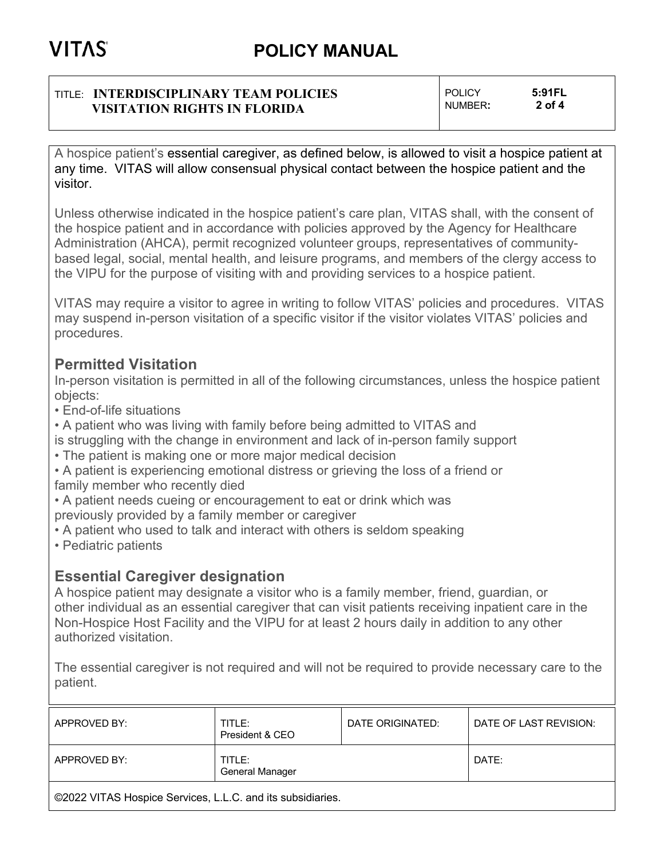#### TITLE: **INTERDISCIPLINARY TEAM POLICIES VISITATION RIGHTS IN FLORIDA**

POLICY **5:91FL** NUMBER**: 2 of 4**

A hospice patient's essential caregiver, as defined below, is allowed to visit a hospice patient at any time. VITAS will allow consensual physical contact between the hospice patient and the visitor.

Unless otherwise indicated in the hospice patient's care plan, VITAS shall, with the consent of the hospice patient and in accordance with policies approved by the Agency for Healthcare Administration (AHCA), permit recognized volunteer groups, representatives of communitybased legal, social, mental health, and leisure programs, and members of the clergy access to the VIPU for the purpose of visiting with and providing services to a hospice patient.

VITAS may require a visitor to agree in writing to follow VITAS' policies and procedures. VITAS may suspend in-person visitation of a specific visitor if the visitor violates VITAS' policies and procedures.

## **Permitted Visitation**

In-person visitation is permitted in all of the following circumstances, unless the hospice patient objects:

• End-of-life situations

- A patient who was living with family before being admitted to VITAS and
- is struggling with the change in environment and lack of in-person family support
- The patient is making one or more major medical decision
- A patient is experiencing emotional distress or grieving the loss of a friend or family member who recently died

• A patient needs cueing or encouragement to eat or drink which was previously provided by a family member or caregiver

- A patient who used to talk and interact with others is seldom speaking
- Pediatric patients

## **Essential Caregiver designation**

A hospice patient may designate a visitor who is a family member, friend, guardian, or other individual as an essential caregiver that can visit patients receiving inpatient care in the Non-Hospice Host Facility and the VIPU for at least 2 hours daily in addition to any other authorized visitation.

The essential caregiver is not required and will not be required to provide necessary care to the patient.

| APPROVED BY:                                               | TITLE:<br>President & CEO | DATE ORIGINATED: | DATE OF LAST REVISION: |  |  |
|------------------------------------------------------------|---------------------------|------------------|------------------------|--|--|
| APPROVED BY:                                               | TITLE:<br>General Manager |                  | DATE:                  |  |  |
| ©2022 VITAS Hospice Services, L.L.C. and its subsidiaries. |                           |                  |                        |  |  |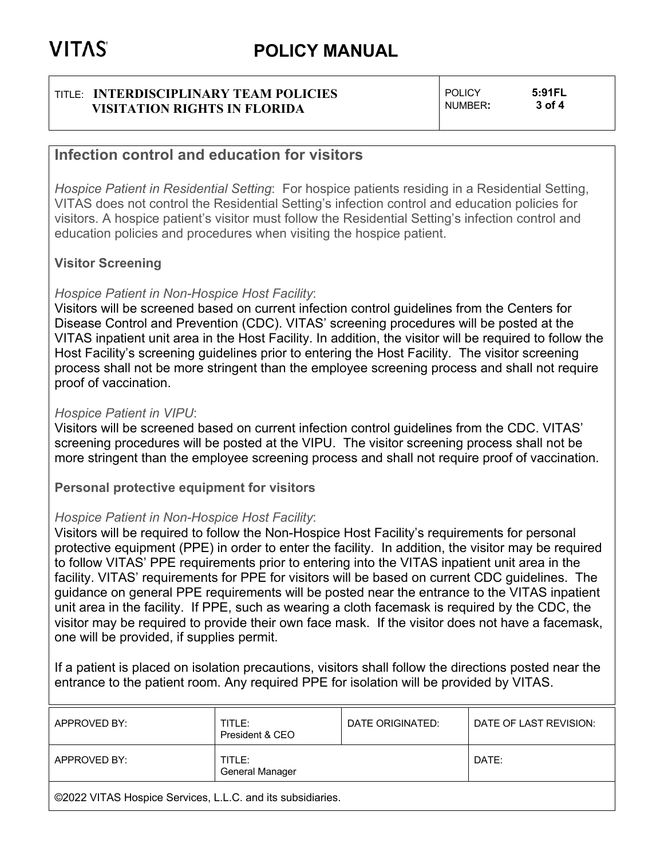#### TITLE: **INTERDISCIPLINARY TEAM POLICIES VISITATION RIGHTS IN FLORIDA**

POLICY **5:91FL** NUMBER**: 3 of 4**

### **Infection control and education for visitors**

*Hospice Patient in Residential Setting*: For hospice patients residing in a Residential Setting, VITAS does not control the Residential Setting's infection control and education policies for visitors. A hospice patient's visitor must follow the Residential Setting's infection control and education policies and procedures when visiting the hospice patient.

### **Visitor Screening**

#### *Hospice Patient in Non-Hospice Host Facility*:

Visitors will be screened based on current infection control guidelines from the Centers for Disease Control and Prevention (CDC). VITAS' screening procedures will be posted at the VITAS inpatient unit area in the Host Facility. In addition, the visitor will be required to follow the Host Facility's screening guidelines prior to entering the Host Facility. The visitor screening process shall not be more stringent than the employee screening process and shall not require proof of vaccination.

#### *Hospice Patient in VIPU*:

Visitors will be screened based on current infection control guidelines from the CDC. VITAS' screening procedures will be posted at the VIPU. The visitor screening process shall not be more stringent than the employee screening process and shall not require proof of vaccination.

**Personal protective equipment for visitors**

#### *Hospice Patient in Non-Hospice Host Facility*:

Visitors will be required to follow the Non-Hospice Host Facility's requirements for personal protective equipment (PPE) in order to enter the facility. In addition, the visitor may be required to follow VITAS' PPE requirements prior to entering into the VITAS inpatient unit area in the facility. VITAS' requirements for PPE for visitors will be based on current CDC guidelines. The guidance on general PPE requirements will be posted near the entrance to the VITAS inpatient unit area in the facility. If PPE, such as wearing a cloth facemask is required by the CDC, the visitor may be required to provide their own face mask. If the visitor does not have a facemask, one will be provided, if supplies permit.

If a patient is placed on isolation precautions, visitors shall follow the directions posted near the entrance to the patient room. Any required PPE for isolation will be provided by VITAS.

| APPROVED BY:                                               | TITLE:<br>President & CEO | DATE ORIGINATED: | DATE OF LAST REVISION: |  |  |
|------------------------------------------------------------|---------------------------|------------------|------------------------|--|--|
| APPROVED BY:                                               | TITLE:<br>General Manager |                  | DATE:                  |  |  |
| ©2022 VITAS Hospice Services, L.L.C. and its subsidiaries. |                           |                  |                        |  |  |